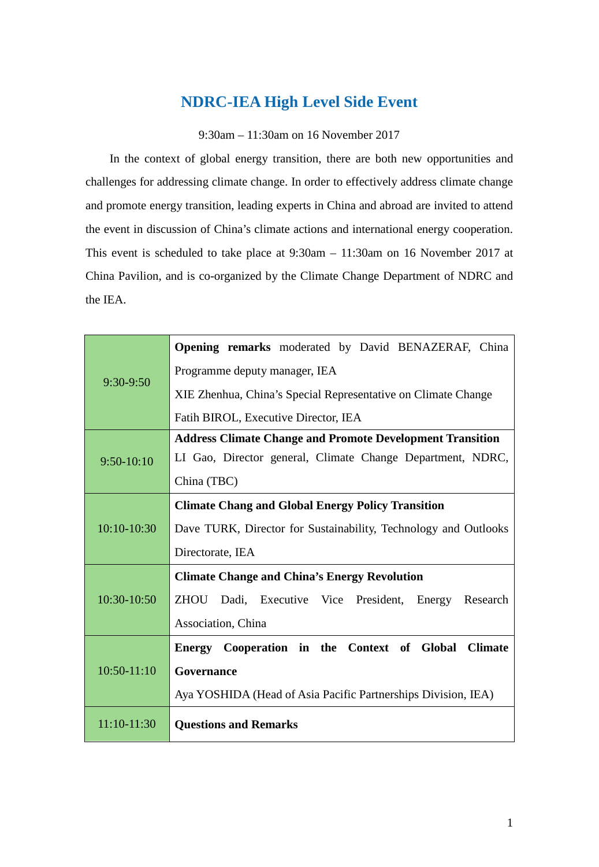## **NDRC-IEA High Level Side Event**

9:30am – 11:30am on 16 November 2017

In the context of global energy transition, there are both new opportunities and challenges for addressing climate change. In order to effectively address climate change and promote energy transition, leading experts in China and abroad are invited to attend the event in discussion of China's climate actions and international energy cooperation. This event is scheduled to take place at 9:30am – 11:30am on 16 November 2017 at China Pavilion, and is co-organized by the Climate Change Department of NDRC and the IEA.

| $9:30-9:50$   | Opening remarks moderated by David BENAZERAF, China              |
|---------------|------------------------------------------------------------------|
|               | Programme deputy manager, IEA                                    |
|               | XIE Zhenhua, China's Special Representative on Climate Change    |
|               | Fatih BIROL, Executive Director, IEA                             |
| $9:50-10:10$  | <b>Address Climate Change and Promote Development Transition</b> |
|               | LI Gao, Director general, Climate Change Department, NDRC,       |
|               | China (TBC)                                                      |
| $10:10-10:30$ | <b>Climate Chang and Global Energy Policy Transition</b>         |
|               | Dave TURK, Director for Sustainability, Technology and Outlooks  |
|               | Directorate, IEA                                                 |
| 10:30-10:50   | <b>Climate Change and China's Energy Revolution</b>              |
|               | ZHOU Dadi, Executive Vice President,<br>Energy<br>Research       |
|               | Association, China                                               |
| $10:50-11:10$ | Energy Cooperation in the Context of Global<br><b>Climate</b>    |
|               | Governance                                                       |
|               | Aya YOSHIDA (Head of Asia Pacific Partnerships Division, IEA)    |
| 11:10-11:30   | <b>Questions and Remarks</b>                                     |